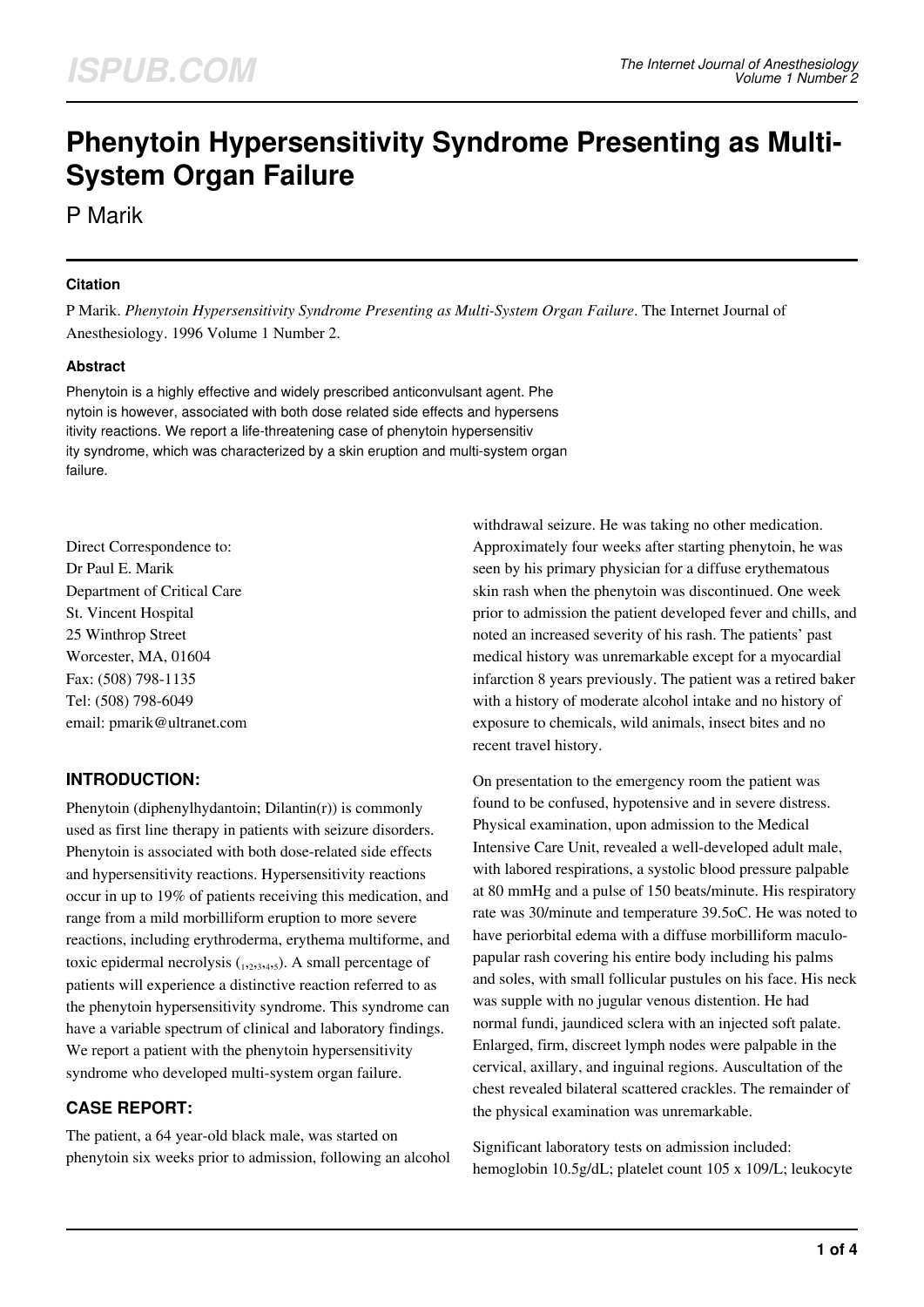# **Phenytoin Hypersensitivity Syndrome Presenting as Multi-System Organ Failure**

P Marik

### **Citation**

P Marik. *Phenytoin Hypersensitivity Syndrome Presenting as Multi-System Organ Failure*. The Internet Journal of Anesthesiology. 1996 Volume 1 Number 2.

#### **Abstract**

Phenytoin is a highly effective and widely prescribed anticonvulsant agent. Phe nytoin is however, associated with both dose related side effects and hypersens itivity reactions. We report a life-threatening case of phenytoin hypersensitiv ity syndrome, which was characterized by a skin eruption and multi-system organ failure.

Direct Correspondence to: Dr Paul E. Marik Department of Critical Care St. Vincent Hospital 25 Winthrop Street Worcester, MA, 01604 Fax: (508) 798-1135 Tel: (508) 798-6049 email: pmarik@ultranet.com

# **INTRODUCTION:**

Phenytoin (diphenylhydantoin; Dilantin(r)) is commonly used as first line therapy in patients with seizure disorders. Phenytoin is associated with both dose-related side effects and hypersensitivity reactions. Hypersensitivity reactions occur in up to 19% of patients receiving this medication, and range from a mild morbilliform eruption to more severe reactions, including erythroderma, erythema multiforme, and toxic epidermal necrolysis  $_{1,2,3,4,5}$ ). A small percentage of patients will experience a distinctive reaction referred to as the phenytoin hypersensitivity syndrome. This syndrome can have a variable spectrum of clinical and laboratory findings. We report a patient with the phenytoin hypersensitivity syndrome who developed multi-system organ failure.

# **CASE REPORT:**

The patient, a 64 year-old black male, was started on phenytoin six weeks prior to admission, following an alcohol withdrawal seizure. He was taking no other medication. Approximately four weeks after starting phenytoin, he was seen by his primary physician for a diffuse erythematous skin rash when the phenytoin was discontinued. One week prior to admission the patient developed fever and chills, and noted an increased severity of his rash. The patients' past medical history was unremarkable except for a myocardial infarction 8 years previously. The patient was a retired baker with a history of moderate alcohol intake and no history of exposure to chemicals, wild animals, insect bites and no recent travel history.

On presentation to the emergency room the patient was found to be confused, hypotensive and in severe distress. Physical examination, upon admission to the Medical Intensive Care Unit, revealed a well-developed adult male, with labored respirations, a systolic blood pressure palpable at 80 mmHg and a pulse of 150 beats/minute. His respiratory rate was 30/minute and temperature 39.5oC. He was noted to have periorbital edema with a diffuse morbilliform maculopapular rash covering his entire body including his palms and soles, with small follicular pustules on his face. His neck was supple with no jugular venous distention. He had normal fundi, jaundiced sclera with an injected soft palate. Enlarged, firm, discreet lymph nodes were palpable in the cervical, axillary, and inguinal regions. Auscultation of the chest revealed bilateral scattered crackles. The remainder of the physical examination was unremarkable.

Significant laboratory tests on admission included: hemoglobin 10.5g/dL; platelet count 105 x 109/L; leukocyte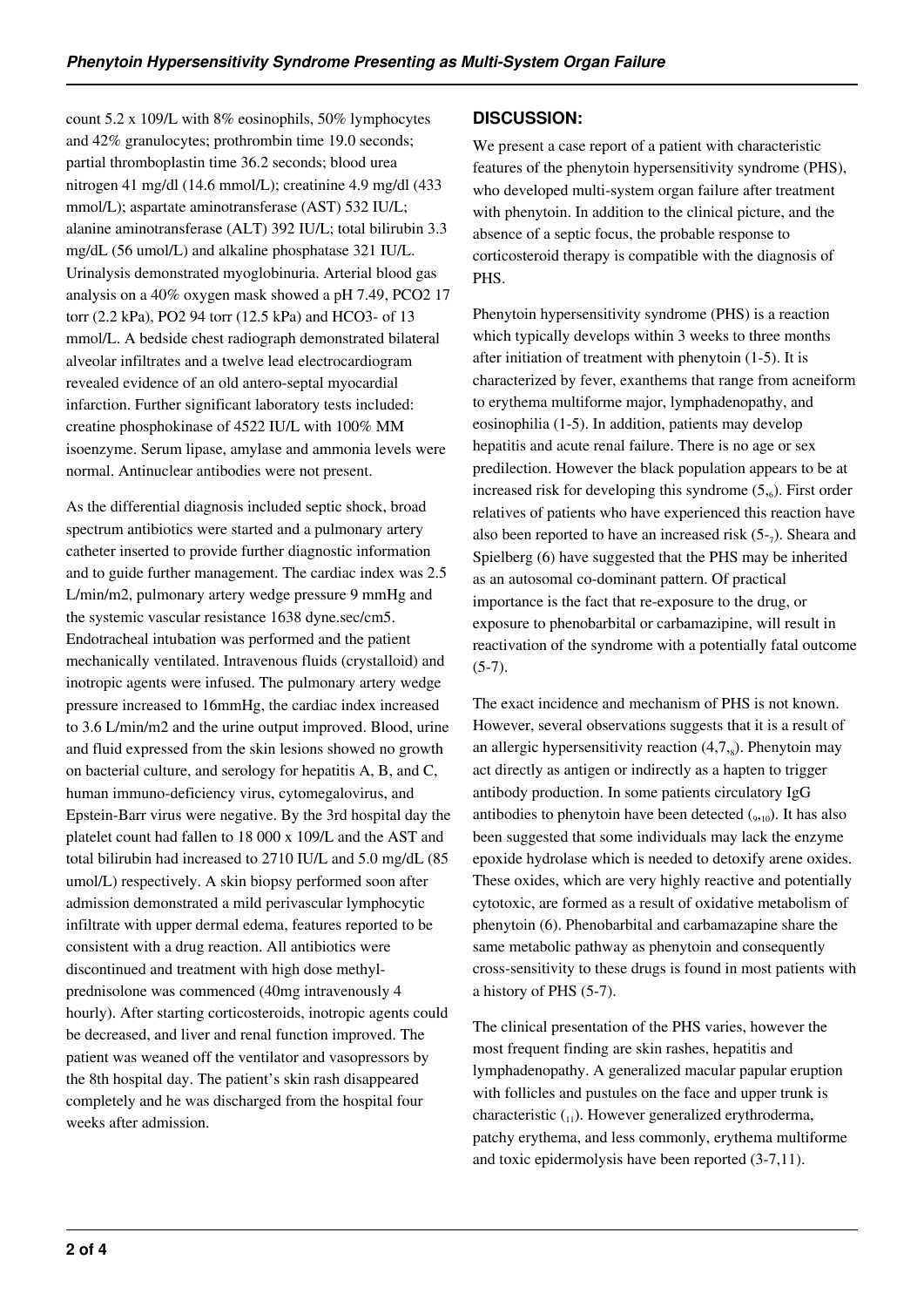count 5.2 x 109/L with 8% eosinophils, 50% lymphocytes and 42% granulocytes; prothrombin time 19.0 seconds; partial thromboplastin time 36.2 seconds; blood urea nitrogen 41 mg/dl (14.6 mmol/L); creatinine 4.9 mg/dl (433 mmol/L); aspartate aminotransferase (AST) 532 IU/L; alanine aminotransferase (ALT) 392 IU/L; total bilirubin 3.3 mg/dL (56 umol/L) and alkaline phosphatase 321 IU/L. Urinalysis demonstrated myoglobinuria. Arterial blood gas analysis on a 40% oxygen mask showed a pH 7.49, PCO2 17 torr (2.2 kPa), PO2 94 torr (12.5 kPa) and HCO3- of 13 mmol/L. A bedside chest radiograph demonstrated bilateral alveolar infiltrates and a twelve lead electrocardiogram revealed evidence of an old antero-septal myocardial infarction. Further significant laboratory tests included: creatine phosphokinase of 4522 IU/L with 100% MM isoenzyme. Serum lipase, amylase and ammonia levels were normal. Antinuclear antibodies were not present.

As the differential diagnosis included septic shock, broad spectrum antibiotics were started and a pulmonary artery catheter inserted to provide further diagnostic information and to guide further management. The cardiac index was 2.5 L/min/m2, pulmonary artery wedge pressure 9 mmHg and the systemic vascular resistance 1638 dyne.sec/cm5. Endotracheal intubation was performed and the patient mechanically ventilated. Intravenous fluids (crystalloid) and inotropic agents were infused. The pulmonary artery wedge pressure increased to 16mmHg, the cardiac index increased to 3.6 L/min/m2 and the urine output improved. Blood, urine and fluid expressed from the skin lesions showed no growth on bacterial culture, and serology for hepatitis A, B, and C, human immuno-deficiency virus, cytomegalovirus, and Epstein-Barr virus were negative. By the 3rd hospital day the platelet count had fallen to 18 000 x 109/L and the AST and total bilirubin had increased to 2710 IU/L and 5.0 mg/dL (85 umol/L) respectively. A skin biopsy performed soon after admission demonstrated a mild perivascular lymphocytic infiltrate with upper dermal edema, features reported to be consistent with a drug reaction. All antibiotics were discontinued and treatment with high dose methylprednisolone was commenced (40mg intravenously 4 hourly). After starting corticosteroids, inotropic agents could be decreased, and liver and renal function improved. The patient was weaned off the ventilator and vasopressors by the 8th hospital day. The patient's skin rash disappeared completely and he was discharged from the hospital four weeks after admission.

## **DISCUSSION:**

We present a case report of a patient with characteristic features of the phenytoin hypersensitivity syndrome (PHS), who developed multi-system organ failure after treatment with phenytoin. In addition to the clinical picture, and the absence of a septic focus, the probable response to corticosteroid therapy is compatible with the diagnosis of PHS.

Phenytoin hypersensitivity syndrome (PHS) is a reaction which typically develops within 3 weeks to three months after initiation of treatment with phenytoin (1-5). It is characterized by fever, exanthems that range from acneiform to erythema multiforme major, lymphadenopathy, and eosinophilia (1-5). In addition, patients may develop hepatitis and acute renal failure. There is no age or sex predilection. However the black population appears to be at increased risk for developing this syndrome  $(5,6)$ . First order relatives of patients who have experienced this reaction have also been reported to have an increased risk  $(5<sub>-7</sub>)$ . Sheara and Spielberg (6) have suggested that the PHS may be inherited as an autosomal co-dominant pattern. Of practical importance is the fact that re-exposure to the drug, or exposure to phenobarbital or carbamazipine, will result in reactivation of the syndrome with a potentially fatal outcome (5-7).

The exact incidence and mechanism of PHS is not known. However, several observations suggests that it is a result of an allergic hypersensitivity reaction  $(4,7,8)$ . Phenytoin may act directly as antigen or indirectly as a hapten to trigger antibody production. In some patients circulatory IgG antibodies to phenytoin have been detected  $_{(9,10)}$ . It has also been suggested that some individuals may lack the enzyme epoxide hydrolase which is needed to detoxify arene oxides. These oxides, which are very highly reactive and potentially cytotoxic, are formed as a result of oxidative metabolism of phenytoin (6). Phenobarbital and carbamazapine share the same metabolic pathway as phenytoin and consequently cross-sensitivity to these drugs is found in most patients with a history of PHS (5-7).

The clinical presentation of the PHS varies, however the most frequent finding are skin rashes, hepatitis and lymphadenopathy. A generalized macular papular eruption with follicles and pustules on the face and upper trunk is characteristic  $\binom{1}{1}$ . However generalized erythroderma, patchy erythema, and less commonly, erythema multiforme and toxic epidermolysis have been reported (3-7,11).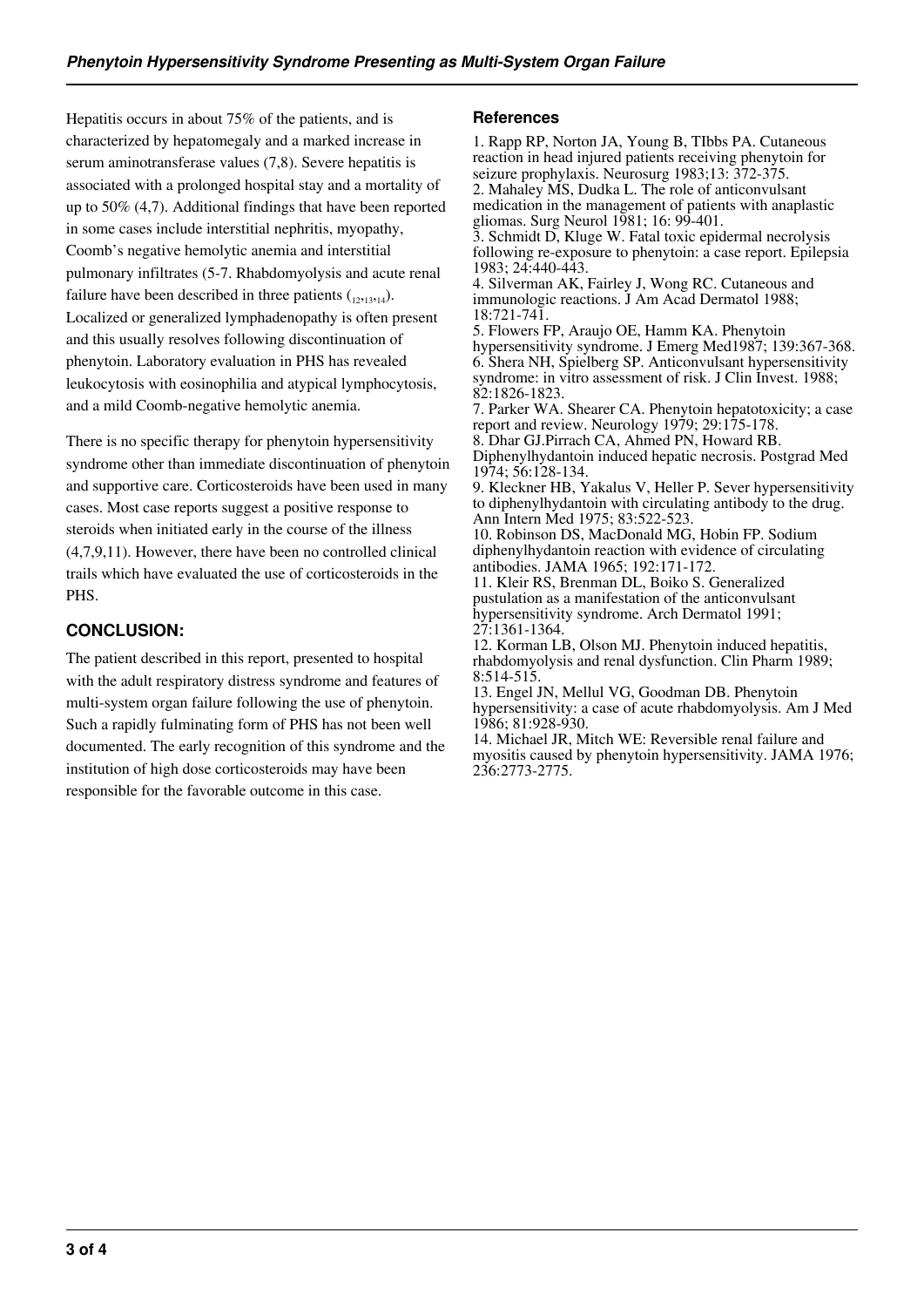Hepatitis occurs in about 75% of the patients, and is characterized by hepatomegaly and a marked increase in serum aminotransferase values (7,8). Severe hepatitis is associated with a prolonged hospital stay and a mortality of up to 50% (4,7). Additional findings that have been reported in some cases include interstitial nephritis, myopathy, Coomb's negative hemolytic anemia and interstitial pulmonary infiltrates (5-7. Rhabdomyolysis and acute renal failure have been described in three patients  $(12,13,14)$ . Localized or generalized lymphadenopathy is often present and this usually resolves following discontinuation of phenytoin. Laboratory evaluation in PHS has revealed leukocytosis with eosinophilia and atypical lymphocytosis, and a mild Coomb-negative hemolytic anemia.

There is no specific therapy for phenytoin hypersensitivity syndrome other than immediate discontinuation of phenytoin and supportive care. Corticosteroids have been used in many cases. Most case reports suggest a positive response to steroids when initiated early in the course of the illness (4,7,9,11). However, there have been no controlled clinical trails which have evaluated the use of corticosteroids in the PHS.

## **CONCLUSION:**

The patient described in this report, presented to hospital with the adult respiratory distress syndrome and features of multi-system organ failure following the use of phenytoin. Such a rapidly fulminating form of PHS has not been well documented. The early recognition of this syndrome and the institution of high dose corticosteroids may have been responsible for the favorable outcome in this case.

#### **References**

1. Rapp RP, Norton JA, Young B, TIbbs PA. Cutaneous reaction in head injured patients receiving phenytoin for seizure prophylaxis. Neurosurg 1983;13: 372-375. 2. Mahaley MS, Dudka L. The role of anticonvulsant medication in the management of patients with anaplastic gliomas. Surg Neurol 1981; 16: 99-401. 3. Schmidt D, Kluge W. Fatal toxic epidermal necrolysis following re-exposure to phenytoin: a case report. Epilepsia 1983; 24:440-443. 4. Silverman AK, Fairley J, Wong RC. Cutaneous and

immunologic reactions. J Am Acad Dermatol 1988; 18:721-741.

5. Flowers FP, Araujo OE, Hamm KA. Phenytoin hypersensitivity syndrome. J Emerg Med1987; 139:367-368. 6. Shera NH, Spielberg SP. Anticonvulsant hypersensitivity syndrome: in vitro assessment of risk. J Clin Invest. 1988; 82:1826-1823.

7. Parker WA. Shearer CA. Phenytoin hepatotoxicity; a case report and review. Neurology 1979; 29:175-178.

8. Dhar GJ.Pirrach CA, Ahmed PN, Howard RB. Diphenylhydantoin induced hepatic necrosis. Postgrad Med 1974; 56:128-134.

9. Kleckner HB, Yakalus V, Heller P. Sever hypersensitivity to diphenylhydantoin with circulating antibody to the drug. Ann Intern Med 1975; 83:522-523.

10. Robinson DS, MacDonald MG, Hobin FP. Sodium diphenylhydantoin reaction with evidence of circulating antibodies. JAMA 1965; 192:171-172.

11. Kleir RS, Brenman DL, Boiko S. Generalized pustulation as a manifestation of the anticonvulsant hypersensitivity syndrome. Arch Dermatol 1991; 27:1361-1364.

12. Korman LB, Olson MJ. Phenytoin induced hepatitis, rhabdomyolysis and renal dysfunction. Clin Pharm 1989; 8:514-515.

13. Engel JN, Mellul VG, Goodman DB. Phenytoin hypersensitivity: a case of acute rhabdomyolysis. Am J Med 1986; 81:928-930.

14. Michael JR, Mitch WE: Reversible renal failure and myositis caused by phenytoin hypersensitivity. JAMA 1976; 236:2773-2775.